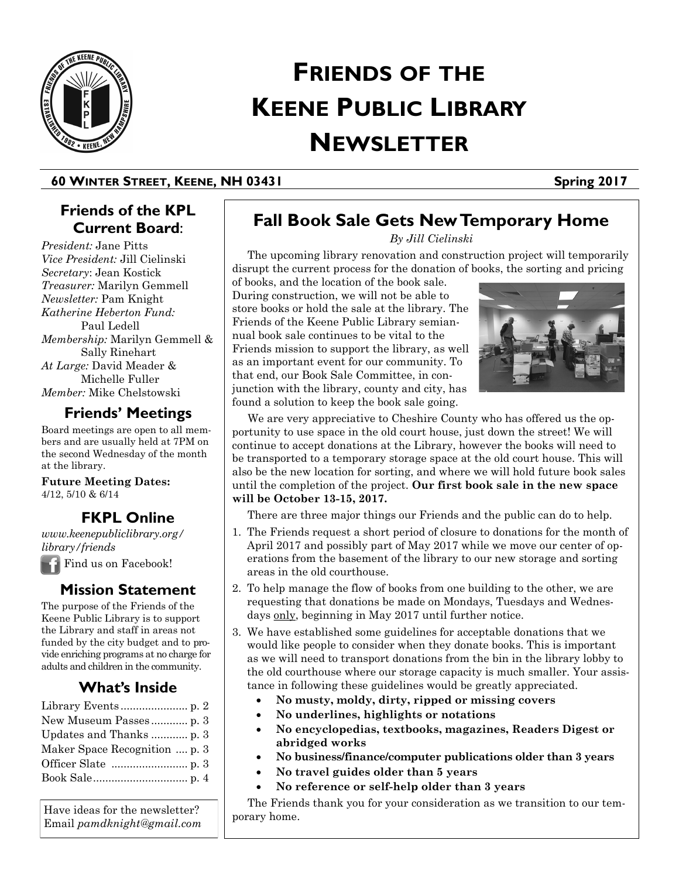

# **FRIENDS OF THE KEENE PUBLIC LIBRARY NEWSLETTER**

#### **60 WINTER STREET, KEENE, NH 03431 Spring 2017**

# **Friends of the KPL Current Board**:

*President:* Jane Pitts *Vice President:* Jill Cielinski *Secretary*: Jean Kostick *Treasurer:* Marilyn Gemmell *Newsletter:* Pam Knight *Katherine Heberton Fund:*  Paul Ledell *Membership:* Marilyn Gemmell & Sally Rinehart *At Large:* David Meader & Michelle Fuller *Member:* Mike Chelstowski

# **Friends' Meetings**

Board meetings are open to all members and are usually held at 7PM on the second Wednesday of the month at the library.

**Future Meeting Dates:**  4/12, 5/10 & 6/14

# **FKPL Online**

*www.keenepubliclibrary.org/ library/friends*

Find us on Facebook!

## **Mission Statement**

The purpose of the Friends of the Keene Public Library is to support the Library and staff in areas not funded by the city budget and to provide enriching programs at no charge for adults and children in the community.

# **What's Inside**

Have ideas for the newsletter? Email *pamdknight@gmail.com*

# **Fall Book Sale Gets New Temporary Home**

*By Jill Cielinski*

 The upcoming library renovation and construction project will temporarily disrupt the current process for the donation of books, the sorting and pricing

of books, and the location of the book sale. During construction, we will not be able to store books or hold the sale at the library. The Friends of the Keene Public Library semiannual book sale continues to be vital to the Friends mission to support the library, as well as an important event for our community. To that end, our Book Sale Committee, in conjunction with the library, county and city, has found a solution to keep the book sale going.



 We are very appreciative to Cheshire County who has offered us the opportunity to use space in the old court house, just down the street! We will continue to accept donations at the Library, however the books will need to be transported to a temporary storage space at the old court house. This will also be the new location for sorting, and where we will hold future book sales until the completion of the project. **Our first book sale in the new space will be October 13-15, 2017.**

There are three major things our Friends and the public can do to help.

- 1. The Friends request a short period of closure to donations for the month of April 2017 and possibly part of May 2017 while we move our center of operations from the basement of the library to our new storage and sorting areas in the old courthouse.
- 2. To help manage the flow of books from one building to the other, we are requesting that donations be made on Mondays, Tuesdays and Wednesdays only, beginning in May 2017 until further notice.
- 3. We have established some guidelines for acceptable donations that we would like people to consider when they donate books. This is important as we will need to transport donations from the bin in the library lobby to the old courthouse where our storage capacity is much smaller. Your assistance in following these guidelines would be greatly appreciated.
	- **No musty, moldy, dirty, ripped or missing covers**
	- **No underlines, highlights or notations**
	- **No encyclopedias, textbooks, magazines, Readers Digest or abridged works**
	- **No business/finance/computer publications older than 3 years**
	- **No travel guides older than 5 years**
	- **No reference or self-help older than 3 years**

 The Friends thank you for your consideration as we transition to our temporary home.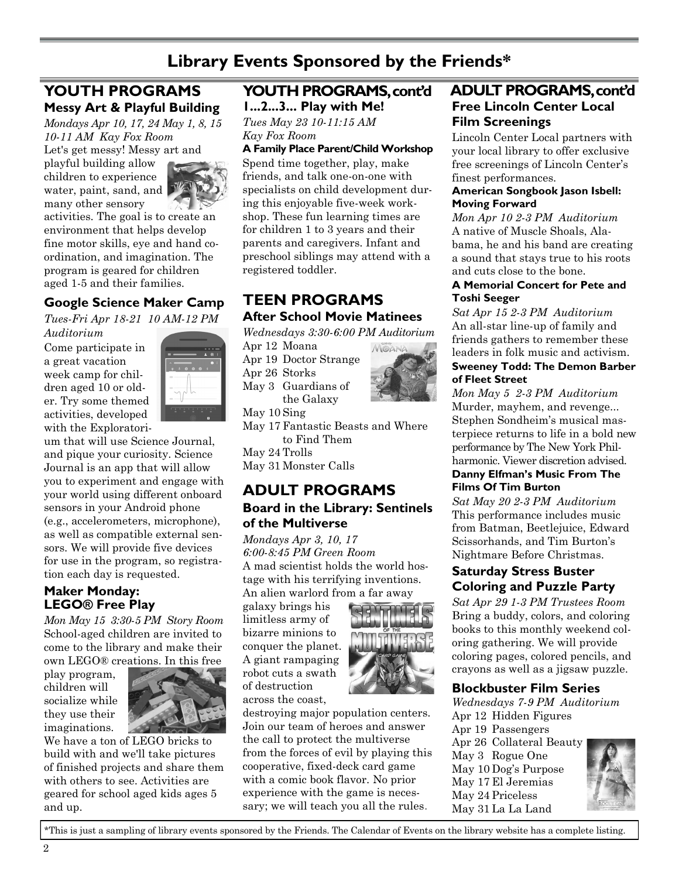# **Library Events Sponsored by the Friends\***

# **YOUTH PROGRAMS [Messy Art & Playful Building](javascript:jumpToDetails()**

*Mondays Apr 10, 17, 24 May 1, 8, 15 10-11 AM Kay Fox Room* Let's get messy! Messy art and

playful building allow children to experience water, paint, sand, and many other sensory



activities. The goal is to create an environment that helps develop fine motor skills, eye and hand coordination, and imagination. The program is geared for children aged 1-5 and their families.

## **[Google Science Maker Camp](javascript:jumpToDetails()**

*Tues-Fri Apr 18-21 10 AM-12 PM Auditorium*

Come participate in a great vacation week camp for children aged 10 or older. Try some themed activities, developed with the Exploratori-



um that will use Science Journal, and pique your curiosity. Science Journal is an app that will allow you to experiment and engage with your world using different onboard sensors in your Android phone (e.g., accelerometers, microphone), as well as compatible external sensors. We will provide five devices for use in the program, so registration each day is requested.

#### **[Maker Monday:](http://keenepubliclibrary.evanced.info/signup/EventDetails.aspx?EventId=12075&lib=) [LEGO® Free Play](javascript:jumpToDetails()**

*Mon May 15 3:30-5 PM Story Room* School-aged children are invited to come to the library and make their own LEGO® creations. In this free

play program, children will socialize while they use their imaginations.



We have a ton of LEGO bricks to build with and we'll take pictures of finished projects and share them with others to see. Activities are geared for school aged kids ages 5 and up.

# **YOUTH PROGRAMS, cont'd**

**[1...2...3... Play with Me!](javascript:jumpToDetails()**  *Tues May 23 10-11:15 AM Kay Fox Room*

#### **A Family Place Parent/Child Workshop**

Spend time together, play, make friends, and talk one-on-one with specialists on child development during this enjoyable five-week workshop. These fun learning times are for children 1 to 3 years and their parents and caregivers. Infant and preschool siblings may attend with a registered toddler.

# **TEEN PROGRAMS After School Movie Matinees**

*Wednesdays 3:30-6:00 PM Auditorium*

Apr 12 Moana Apr 19 Doctor Strange Apr 26 Storks May 3 Guardians of the Galaxy



May 10 Sing May 17 Fantastic Beasts and Where to Find Them May 24 Trolls

May 31 Monster Calls

#### **ADULT PROGRAMS [Board in the Library: Sentinels](javascript:jumpToDetails()  [of the Multiverse](javascript:jumpToDetails()**

*Mondays Apr 3, 10, 17 6:00-8:45 PM Green Room* A mad scientist holds the world hostage with his terrifying inventions. An alien warlord from a far away

galaxy brings his limitless army of bizarre minions to conquer the planet. A giant rampaging robot cuts a swath of destruction across the coast,



destroying major population centers. Join our team of heroes and answer the call to protect the multiverse from the forces of evil by playing this cooperative, fixed-deck card game with a comic book flavor. No prior experience with the game is necessary; we will teach you all the rules.

# **[Free Lincoln Center Local](javascript:jumpToDetails()  [Film Screenings](javascript:jumpToDetails()  ADULT PROGRAMS, cont'd**

Lincoln Center Local partners with your local library to offer exclusive free screenings of Lincoln Center's finest performances.

#### **[American Songbook Jason Isbell:](javascript:jumpToDetails()  [Moving Forward](javascript:jumpToDetails()**

*Mon Apr 10 2-3 PM Auditorium* A native of Muscle Shoals, Alabama, he and his band are creating a sound that stays true to his roots and cuts close to the bone.

#### **[A Memorial Concert for Pete and](javascript:jumpToDetails()  [Toshi Seeger](javascript:jumpToDetails()**

*Sat Apr 15 2-3 PM Auditorium* An all-star line-up of family and friends gathers to remember these leaders in folk music and activism. **[Sweeney Todd: The Demon Barber](javascript:jumpToDetails()** 

# **[of Fleet Street](javascript:jumpToDetails()**

*Mon May 5 2-3 PM Auditorium* Murder, mayhem, and revenge... Stephen Sondheim's musical masterpiece returns to life in a bold new performance by The New York Philharmonic. Viewer discretion advised.

#### **[Danny Elfman's Music From The](javascript:jumpToDetails()  [Films Of Tim Burton](javascript:jumpToDetails()**

*Sat May 20 2-3 PM Auditorium* This performance includes music from Batman, Beetlejuice, Edward Scissorhands, and Tim Burton's Nightmare Before Christmas.

#### **[Saturday Stress Buster](javascript:jumpToDetails()  [Coloring and Puzzle Party](javascript:jumpToDetails()**

*Sat Apr 29 1-3 PM Trustees Room* Bring a buddy, colors, and coloring books to this monthly weekend coloring gathering. We will provide coloring pages, colored pencils, and crayons as well as a jigsaw puzzle.

#### **Blockbuster Film Series**

*Wednesdays 7-9 PM Auditorium* Apr 12 Hidden Figures Apr 19 Passengers Apr 26 Collateral Beauty May 3 Rogue One May 10 Dog's Purpose May 17 El Jeremias May 24 Priceless May 31 La La Land



\*This is just a sampling of library events sponsored by the Friends. The Calendar of Events on the library website has a complete listing.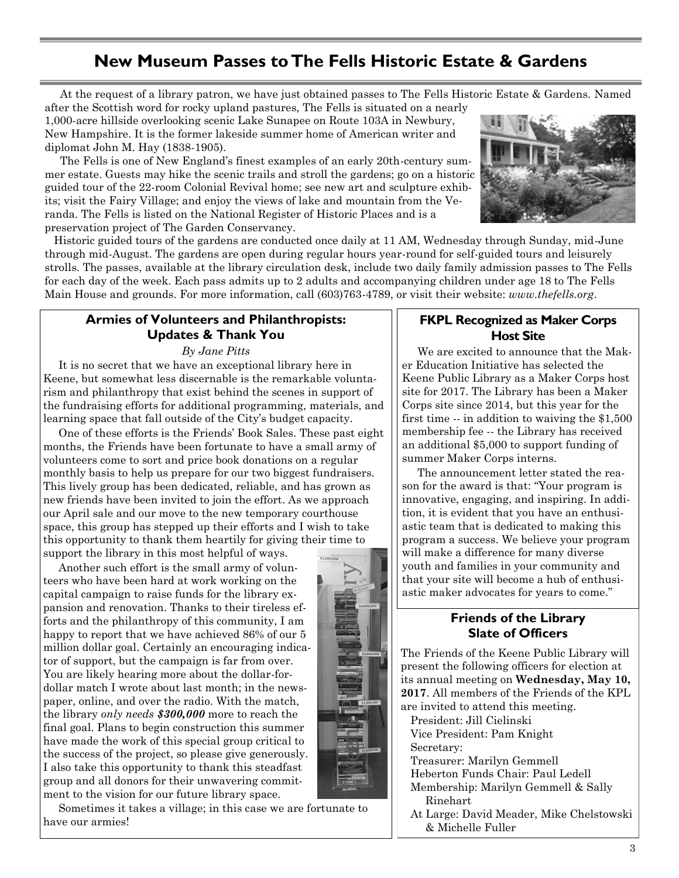# **New Museum Passes to The Fells Historic Estate & Gardens**

At the request of a library patron, we have just obtained passes to The Fells Historic Estate & Gardens. Named

after the Scottish word for rocky upland pastures, The Fells is situated on a nearly 1,000-acre hillside overlooking scenic Lake Sunapee on Route 103A in Newbury, New Hampshire. It is the former lakeside summer home of American writer and diplomat John M. Hay (1838-1905).

 The Fells is one of New England's finest examples of an early 20th-century summer estate. Guests may hike the scenic trails and stroll the gardens; go on a historic guided tour of the 22-room Colonial Revival home; see new art and sculpture exhibits; visit the Fairy Village; and enjoy the views of lake and mountain from the Veranda. The Fells is listed on the National Register of Historic Places and is a preservation project of The Garden Conservancy.



 Historic guided tours of the gardens are conducted once daily at 11 AM, Wednesday through Sunday, mid-June through mid-August. The gardens are open during regular hours year-round for self-guided tours and leisurely strolls. The passes, available at the library circulation desk, include two daily family admission passes to The Fells for each day of the week. Each pass admits up to 2 adults and accompanying children under age 18 to The Fells Main House and grounds. For more information, call (603)763-4789, or visit their website: *www.thefells.org*.

#### **Armies of Volunteers and Philanthropists: Updates & Thank You**

*By Jane Pitts*

 It is no secret that we have an exceptional library here in Keene, but somewhat less discernable is the remarkable voluntarism and philanthropy that exist behind the scenes in support of the fundraising efforts for additional programming, materials, and learning space that fall outside of the City's budget capacity.

 One of these efforts is the Friends' Book Sales. These past eight months, the Friends have been fortunate to have a small army of volunteers come to sort and price book donations on a regular monthly basis to help us prepare for our two biggest fundraisers. This lively group has been dedicated, reliable, and has grown as new friends have been invited to join the effort. As we approach our April sale and our move to the new temporary courthouse space, this group has stepped up their efforts and I wish to take this opportunity to thank them heartily for giving their time to support the library in this most helpful of ways.

 Another such effort is the small army of volunteers who have been hard at work working on the capital campaign to raise funds for the library expansion and renovation. Thanks to their tireless efforts and the philanthropy of this community, I am happy to report that we have achieved 86% of our 5 million dollar goal. Certainly an encouraging indicator of support, but the campaign is far from over. You are likely hearing more about the dollar-fordollar match I wrote about last month; in the newspaper, online, and over the radio. With the match, the library *only needs \$300,000* more to reach the final goal. Plans to begin construction this summer have made the work of this special group critical to the success of the project, so please give generously. I also take this opportunity to thank this steadfast group and all donors for their unwavering commitment to the vision for our future library space.

 Sometimes it takes a village; in this case we are fortunate to have our armies!

#### **FKPL Recognized as Maker Corps Host Site**

 We are excited to announce that the Maker Education Initiative has selected the Keene Public Library as a Maker Corps host site for 2017. The Library has been a Maker Corps site since 2014, but this year for the first time -- in addition to waiving the \$1,500 membership fee -- the Library has received an additional \$5,000 to support funding of summer Maker Corps interns.

 The announcement letter stated the reason for the award is that: "Your program is innovative, engaging, and inspiring. In addition, it is evident that you have an enthusiastic team that is dedicated to making this program a success. We believe your program will make a difference for many diverse youth and families in your community and that your site will become a hub of enthusiastic maker advocates for years to come."

#### **Friends of the Library Slate of Officers**

The Friends of the Keene Public Library will present the following officers for election at its annual meeting on **Wednesday, May 10, 2017**. All members of the Friends of the KPL are invited to attend this meeting.

President: Jill Cielinski Vice President: Pam Knight

Secretary:

Treasurer: Marilyn Gemmell

Heberton Funds Chair: Paul Ledell

Membership: Marilyn Gemmell & Sally Rinehart

At Large: David Meader, Mike Chelstowski & Michelle Fuller